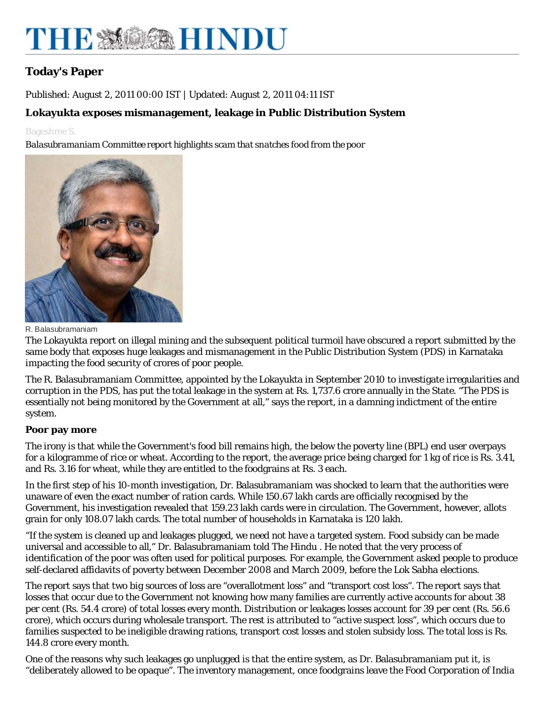# THE MOSAHINDU

## **Today's Paper**

Published: August 2, 2011 00:00 IST | Updated: August 2, 2011 04:11 IST

### **Lokayukta exposes mismanagement, leakage in Public Distribution System**

#### Bageshree S.

*Balasubramaniam Committee report highlights scam that snatches food from the poor*



R. Balasubramaniam

The Lokayukta report on illegal mining and the subsequent political turmoil have obscured a report submitted by the same body that exposes huge leakages and mismanagement in the Public Distribution System (PDS) in Karnataka impacting the food security of crores of poor people.

The R. Balasubramaniam Committee, appointed by the Lokayukta in September 2010 to investigate irregularities and corruption in the PDS, has put the total leakage in the system at Rs. 1,737.6 crore annually in the State. "The PDS is essentially not being monitored by the Government at all," says the report, in a damning indictment of the entire system.

#### **Poor pay more**

The irony is that while the Government's food bill remains high, the below the poverty line (BPL) end user overpays for a kilogramme of rice or wheat. According to the report, the average price being charged for 1 kg of rice is Rs. 3.41, and Rs. 3.16 for wheat, while they are entitled to the foodgrains at Rs. 3 each.

In the first step of his 10-month investigation, Dr. Balasubramaniam was shocked to learn that the authorities were unaware of even the exact number of ration cards. While 150.67 lakh cards are officially recognised by the Government, his investigation revealed that 159.23 lakh cards were in circulation. The Government, however, allots grain for only 108.07 lakh cards. The total number of households in Karnataka is 120 lakh.

"If the system is cleaned up and leakages plugged, we need not have a targeted system. Food subsidy can be made universal and accessible to all," Dr. Balasubramaniam told *The Hindu* . He noted that the very process of identification of the poor was often used for political purposes. For example, the Government asked people to produce self-declared affidavits of poverty between December 2008 and March 2009, before the Lok Sabha elections.

The report says that two big sources of loss are "overallotment loss" and "transport cost loss". The report says that losses that occur due to the Government not knowing how many families are currently active accounts for about 38 per cent (Rs. 54.4 crore) of total losses every month. Distribution or leakages losses account for 39 per cent (Rs. 56.6 crore), which occurs during wholesale transport. The rest is attributed to "active suspect loss", which occurs due to families suspected to be ineligible drawing rations, transport cost losses and stolen subsidy loss. The total loss is Rs. 144.8 crore every month.

One of the reasons why such leakages go unplugged is that the entire system, as Dr. Balasubramaniam put it, is "deliberately allowed to be opaque". The inventory management, once foodgrains leave the Food Corporation of India